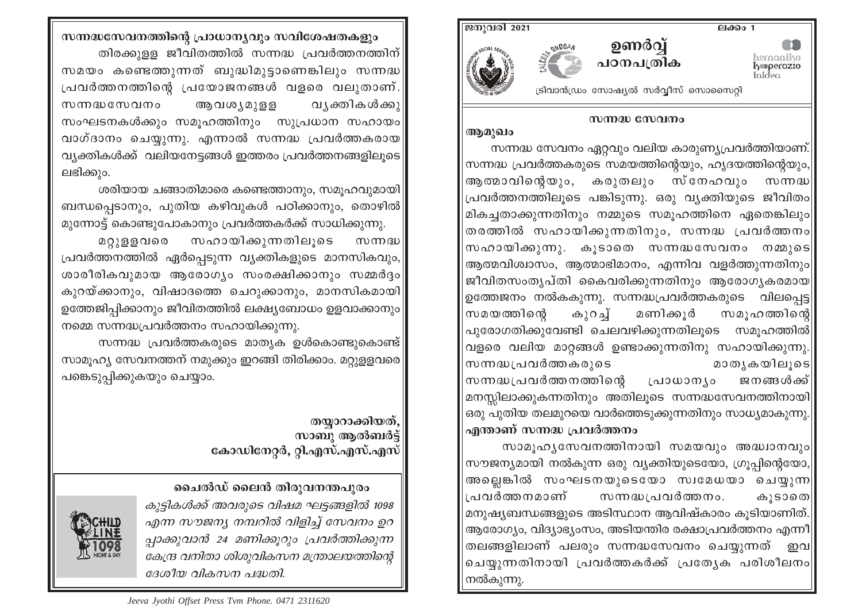

## സന്നദ്ധ സേവനം

ആമുഖം

സന്നദ്ധ സേവനം ഏറ്റവും വലിയ കാരുണ്യപ്രവർത്തിയാണ്. സന്നദ്ധ പ്രവർത്തകരുടെ സമയത്തിന്റെയും, ഹൃദയത്തിന്റെയും, ആത്മാവിന്റെയും, കരുതലും സ്നേഹവും സന്നദ്ധ $\vert$ പ്രവർത്തനത്തിലൂടെ പങ്കിടുന്നു. ഒരു വ്യക്തിയുടെ ജീവിതം|| മികച്ചതാക്കുന്നതിനും നമ്മുടെ സമൂഹത്തിനെ ഏതെങ്കിലും തരത്തിൽ സഹായിക്കുന്നതിനും, സന്നദ്ധ പ്രവർത്തനം|| സഹായിക്കുന്നു. കുടാതെ സന്നദ്ധസേവനം നമ്മുടെ $\parallel$ ആത്മവിശ്വാസം, ആത്മാഭിമാനം, എന്നിവ വളർത്തുന്നതിനും|| ജീവിതസംതൃപ്തി കൈവരിക്കുന്നതിനും ആരോഗൃകരമായ $\parallel$ ഉത്തേജനം നൽകകുന്നു. സന്നദ്ധപ്രവർത്തകരുടെ വിലപ്പെട്ട $\parallel$ സമയത്തിന്റെ മണിക്കുർ കുറച്ച് സമുഹത്തിന്റെ|| പുരോഗതിക്കുവേണ്ടി ചെലവഴിക്കുന്നതിലൂടെ സമൂഹത്തിൽ $\parallel$ വളരെ വലിയ മാറ്റങ്ങൾ ഉണ്ടാക്കുന്നതിനു സഹായിക്കുന്നു. സന്നദ്ധപ്രവർത്തകരുടെ മാതൃകയിലുടെ| സന്നദ്ധപ്രവർത്തനത്തിന്റെ ജനങ്ങൾക്ക് പ്രാധാന്യം മനസ്സിലാക്കുകന്നതിനും അതിലൂടെ സന്നദ്ധസേവനത്തിനായി $\parallel$ ഒരു പുതിയ തലമുറയെ വാർത്തെടുക്കുന്നതിനും സാധ്യമാകുന്നു.| എന്താണ് സന്നദ്ധ പ്രവർത്തനം

സാമൂഹൃസേവനത്തിനായി സമയവും അദ്ധാനവും|| സൗജന്യമായി നൽകുന്ന ഒരു വ്യക്തിയുടെയോ, ഗ്രൂപ്പിന്റെയോ, അല്ലെങ്കിൽ സംഘടനയുടെയോ സ്വമേധയാ ചെയ്യുന്ന∥ പ്രവർത്തനമാണ് സന്നദ്ധപ്രവർത്തനം. കൂടാതെ| മനുഷ്യബന്ധങ്ങളുടെ അടിസ്ഥാന ആവിഷ്കാരം കുടിയാണിത്. ആരോഗ്യം, വിദ്യാഭ്യംസം, അടിയന്തിര രക്ഷാപ്രവർത്തനം എന്നീ| തലങ്ങളിലാണ് പലരും സന്നദ്ധസേവനം ചെയ്യുന്നത് \_ഇവ**||** ചെയ്യുന്നതിനായി പ്രവർത്തകർക്ക് പ്രത്യേക പരിശീലനം|| നൽകുന്നു.

സന്നദ്ധസേവനത്തിന്റെ പ്രാധാന്യവും സവിശേഷതകളും തിരക്കുളള ജീവിതത്തിൽ സന്നദ്ധ പ്രവർത്തനത്തിന് $|$ സമയം കണ്ടെത്തുന്നത് ബുദ്ധിമുട്ടാണെങ്കിലും സന്നദ്ധ പ്രവർത്തനത്തിന്റെ പ്രയോജനങ്ങൾ വളരെ വലുതാണ്. ആവശ്യമുളള വ യികൾക്കു സന്നദ്ധസേവനം സംഘടനകൾക്കും സമൂഹത്തിനും സുപ്രധാന സഹായം വാഗ്ദാനം ചെയ്യുന്നു. എന്നാൽ സന്നദ്ധ പ്രവർത്തകരായ വ്യക്തികൾക്ക് വലിയനേട്ടങ്ങൾ ഇത്തരം പ്രവർത്തനങ്ങളിലൂടെ ലഭിക്കും.

ശരിയായ ചങ്ങാതിമാരെ കണ്ടെത്താനും, സമൂഹവുമായി ബന്ധപ്പെടാനും, പുതിയ കഴിവുകൾ പഠിക്കാനും, തൊഴിൽ മുന്നോട്ട് കൊണ്ടുപോകാനും പ്രവർത്തകർക്ക് സാധിക്കുന്നു.

സഹായിക്കുന്നതിലുടെ മറ്റുളളവരെ  $\lfloor m \rfloor$ പ്രവർത്തനത്തിൽ ഏർപ്പെടുന്ന വ്യക്തികളുടെ മാനസികവും, ശാരീരികവുമായ ആരോഗ്യം സംരക്ഷിക്കാനും സമ്മർദ്ദം കുറയ്ക്കാനും, വിഷാദത്തെ ചെറുക്കാനും, മാനസികമായി ഉത്തേജിപ്പിക്കാനും ജീവിതത്തിൽ ലക്ഷ്യബോധം ഉളവാക്കാനും നമ്മെ സന്നദ്ധപ്രവർത്തനം സഹായിക്കുന്നു.

സന്നദ്ധ പ്രവർത്തകരുടെ മാതൃക ഉൾകൊണ്ടുകൊണ്ട് $|$ സാമുഹ്യ സേവനത്തന് നമുക്കും ഇറങ്ങി തിരിക്കാം. മറ്റുള്ളവരെ പങ്കെടുപ്പിക്കുകയും ചെയ്യാം.

> തയാറാക്കിയത്. സാബു ആൽബർട്ട് കോഡിനേറ്റർ, റ്റി.എസ്.എസ്.എസ്

ചൈൽഡ് ലൈൻ തിരുവനന്തപുരം

കുട്ടികൾക്ക് അവരുടെ വിഷമ ഘട്ടങ്ങളിൽ 1098 എന്ന സൗജന്യ നമ്പറിൽ വിളിച്ച് സേവനം ഉറ പ്പാക്കുവാൻ 24 മണിക്കുറും പ്രവർത്തിക്കുന്ന കേന്ദ്ര വനിതാ ശിശുവികസന മന്ത്രാലയത്തിന്റെ ദേശീയ വികസന പദ്ധതി.